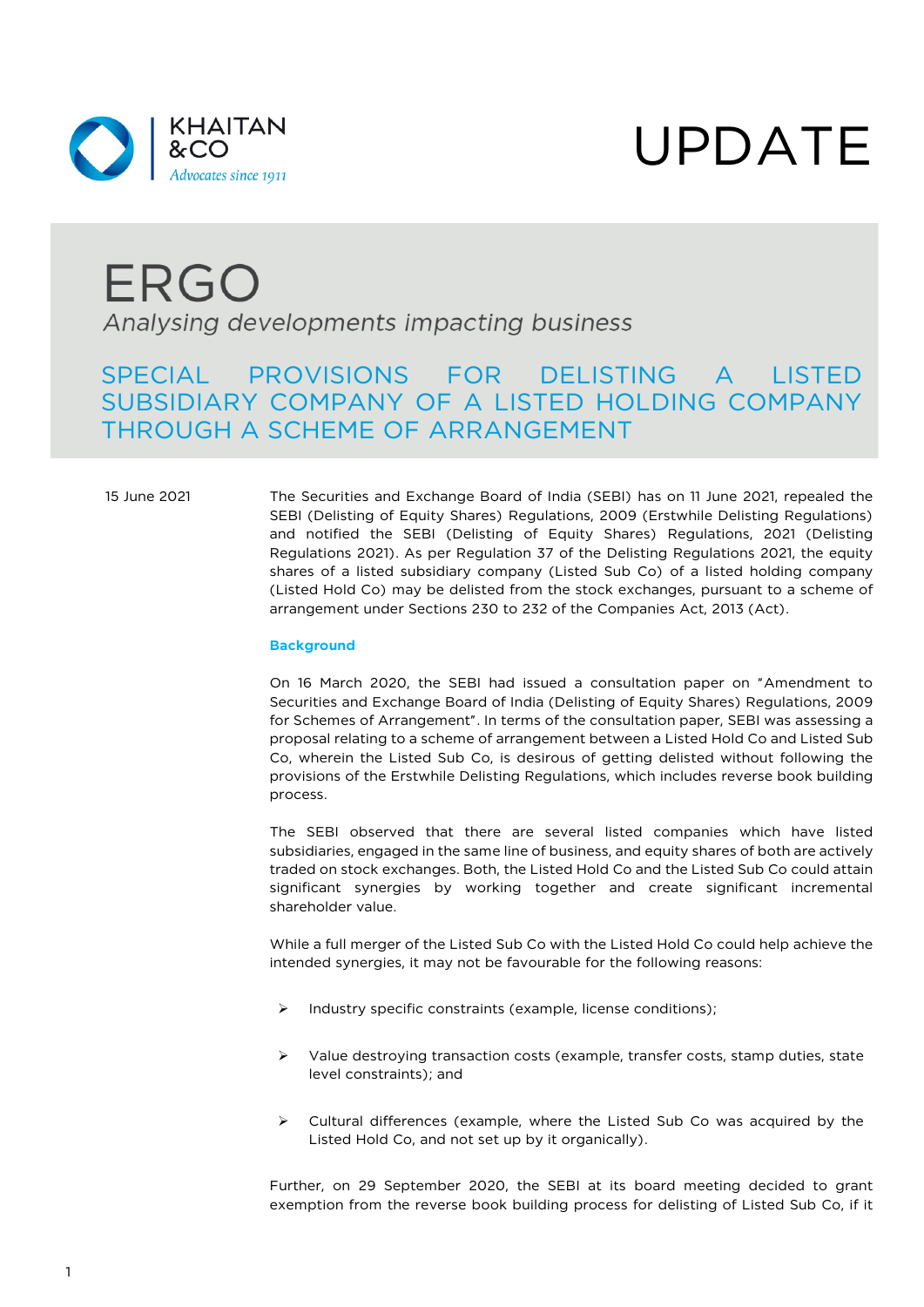

# UPDATE

## ERGO Analysing developments impacting business

### SPECIAL PROVISIONS FOR DELISTING A LISTED SUBSIDIARY COMPANY OF A LISTED HOLDING COMPANY THROUGH A SCHEME OF ARRANGEMENT

15 June 2021 The Securities and Exchange Board of India (SEBI) has on 11 June 2021, repealed the SEBI (Delisting of Equity Shares) Regulations, 2009 (Erstwhile Delisting Regulations) and notified the SEBI (Delisting of Equity Shares) Regulations, 2021 (Delisting Regulations 2021). As per Regulation 37 of the Delisting Regulations 2021, the equity shares of a listed subsidiary company (Listed Sub Co) of a listed holding company (Listed Hold Co) may be delisted from the stock exchanges, pursuant to a scheme of arrangement under Sections 230 to 232 of the Companies Act, 2013 (Act).

#### **Background**

On 16 March 2020, the SEBI had issued a consultation paper on "Amendment to Securities and Exchange Board of India (Delisting of Equity Shares) Regulations, 2009 for Schemes of Arrangement". In terms of the consultation paper, SEBI was assessing a proposal relating to a scheme of arrangement between a Listed Hold Co and Listed Sub Co, wherein the Listed Sub Co, is desirous of getting delisted without following the provisions of the Erstwhile Delisting Regulations, which includes reverse book building process.

The SEBI observed that there are several listed companies which have listed subsidiaries, engaged in the same line of business, and equity shares of both are actively traded on stock exchanges. Both, the Listed Hold Co and the Listed Sub Co could attain significant synergies by working together and create significant incremental shareholder value.

While a full merger of the Listed Sub Co with the Listed Hold Co could help achieve the intended synergies, it may not be favourable for the following reasons:

- $\triangleright$  Industry specific constraints (example, license conditions);
- $\triangleright$  Value destroying transaction costs (example, transfer costs, stamp duties, state level constraints); and
- $\triangleright$  Cultural differences (example, where the Listed Sub Co was acquired by the Listed Hold Co, and not set up by it organically).

Further, on 29 September 2020, the SEBI at its board meeting decided to grant exemption from the reverse book building process for delisting of Listed Sub Co, if it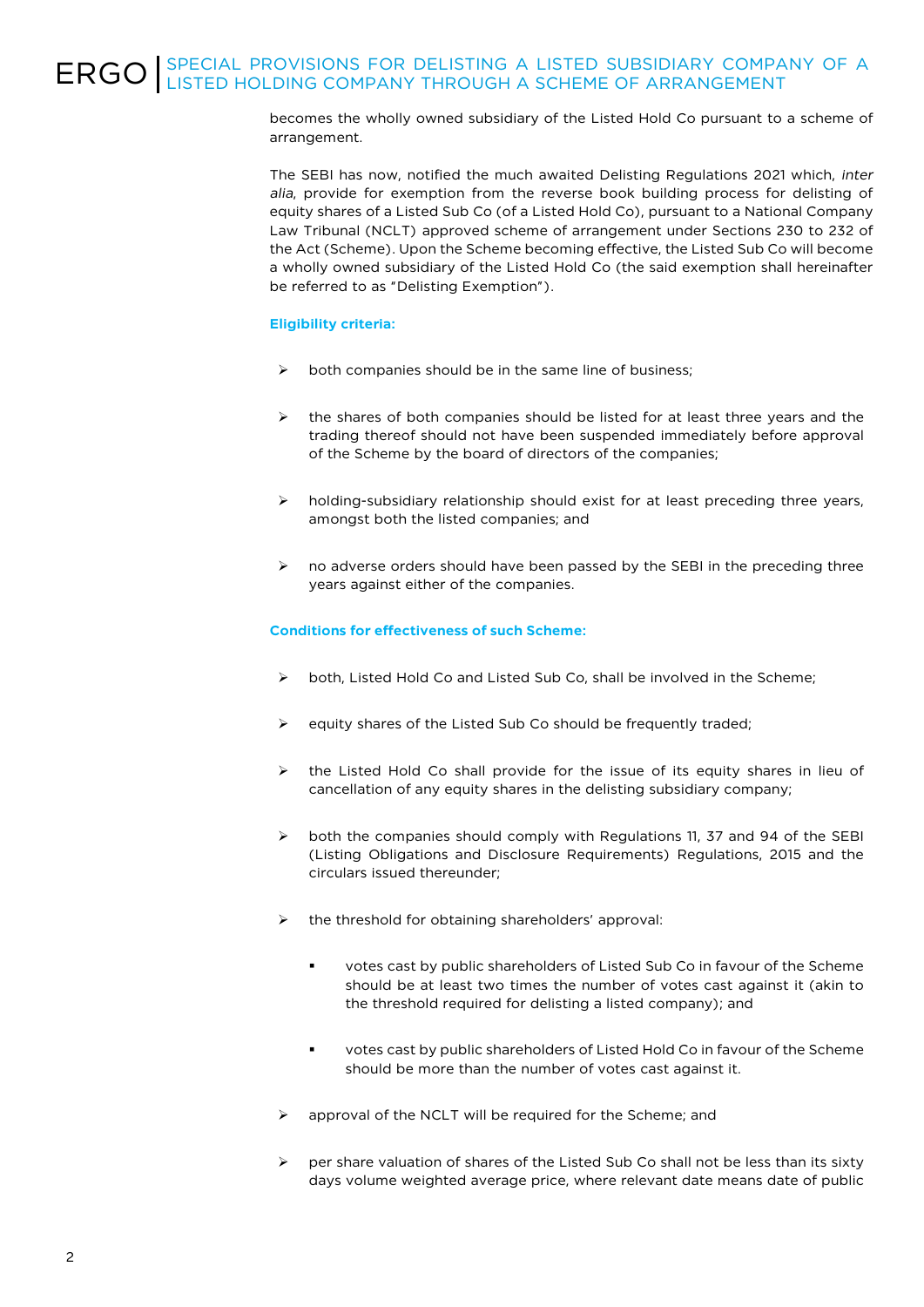## ERGO SPECIAL PROVISIONS FOR DELISTING A LISTED SUBSIDIARY COMPANY OF A **EXAMPLE OF ARRANGEMENT**

becomes the wholly owned subsidiary of the Listed Hold Co pursuant to a scheme of arrangement.

The SEBI has now, notified the much awaited Delisting Regulations 2021 which, *inter alia*, provide for exemption from the reverse book building process for delisting of equity shares of a Listed Sub Co (of a Listed Hold Co), pursuant to a National Company Law Tribunal (NCLT) approved scheme of arrangement under Sections 230 to 232 of the Act (Scheme). Upon the Scheme becoming effective, the Listed Sub Co will become a wholly owned subsidiary of the Listed Hold Co (the said exemption shall hereinafter be referred to as "Delisting Exemption").

### **Eligibility criteria:**

- both companies should be in the same line of business;
- the shares of both companies should be listed for at least three years and the trading thereof should not have been suspended immediately before approval of the Scheme by the board of directors of the companies;
- $\triangleright$  holding-subsidiary relationship should exist for at least preceding three years, amongst both the listed companies; and
- $\triangleright$  no adverse orders should have been passed by the SEBI in the preceding three years against either of the companies.

### **Conditions for effectiveness of such Scheme:**

- both, Listed Hold Co and Listed Sub Co, shall be involved in the Scheme;
- equity shares of the Listed Sub Co should be frequently traded:
- $\triangleright$  the Listed Hold Co shall provide for the issue of its equity shares in lieu of cancellation of any equity shares in the delisting subsidiary company;
- $\triangleright$  both the companies should comply with Regulations 11, 37 and 94 of the SEBI (Listing Obligations and Disclosure Requirements) Regulations, 2015 and the circulars issued thereunder;
- $\triangleright$  the threshold for obtaining shareholders' approval:
	- votes cast by public shareholders of Listed Sub Co in favour of the Scheme should be at least two times the number of votes cast against it (akin to the threshold required for delisting a listed company); and
	- votes cast by public shareholders of Listed Hold Co in favour of the Scheme should be more than the number of votes cast against it.
- $\triangleright$  approval of the NCLT will be required for the Scheme; and
- per share valuation of shares of the Listed Sub Co shall not be less than its sixty days volume weighted average price, where relevant date means date of public